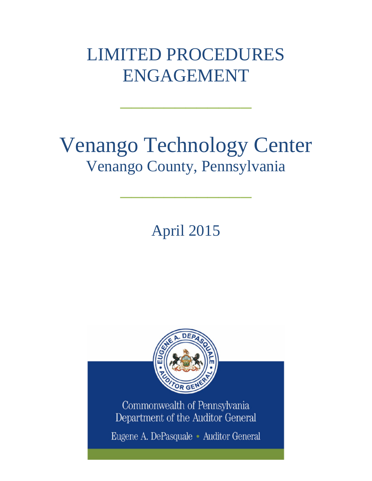## LIMITED PROCEDURES ENGAGEMENT

 $\frac{1}{2}$  , where  $\frac{1}{2}$  , where  $\frac{1}{2}$ 

## Venango Technology Center Venango County, Pennsylvania

April 2015

 $\frac{1}{2}$  , where  $\frac{1}{2}$  , where  $\frac{1}{2}$ 



Commonwealth of Pennsylvania Department of the Auditor General

Eugene A. DePasquale · Auditor General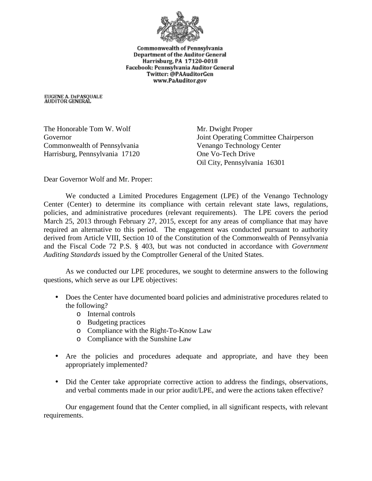

Commonwealth of Pennsylvania **Department of the Auditor General** Harrisburg, PA 17120-0018 Facebook: Pennsylvania Auditor General Twitter: @PAAuditorGen www.PaAuditor.gov

EUGENE A. DEPASQUALE<br>AUDITOR GENERAL

The Honorable Tom W. Wolf Mr. Dwight Proper Commonwealth of Pennsylvania Venango Technology Center Harrisburg, Pennsylvania 17120 One Vo-Tech Drive

Governor Joint Operating Committee Chairperson Oil City, Pennsylvania 16301

Dear Governor Wolf and Mr. Proper:

We conducted a Limited Procedures Engagement (LPE) of the Venango Technology Center (Center) to determine its compliance with certain relevant state laws, regulations, policies, and administrative procedures (relevant requirements). The LPE covers the period March 25, 2013 through February 27, 2015, except for any areas of compliance that may have required an alternative to this period. The engagement was conducted pursuant to authority derived from Article VIII, Section 10 of the Constitution of the Commonwealth of Pennsylvania and the Fiscal Code 72 P.S. § 403, but was not conducted in accordance with *Government Auditing Standards* issued by the Comptroller General of the United States.

As we conducted our LPE procedures, we sought to determine answers to the following questions, which serve as our LPE objectives:

- Does the Center have documented board policies and administrative procedures related to the following?
	- o Internal controls
	- o Budgeting practices
	- o Compliance with the Right-To-Know Law
	- o Compliance with the Sunshine Law
- Are the policies and procedures adequate and appropriate, and have they been  $\mathbf{r}$ appropriately implemented?
- $\mathbf{r}^{\prime}$ Did the Center take appropriate corrective action to address the findings, observations, and verbal comments made in our prior audit/LPE, and were the actions taken effective?

Our engagement found that the Center complied, in all significant respects, with relevant requirements.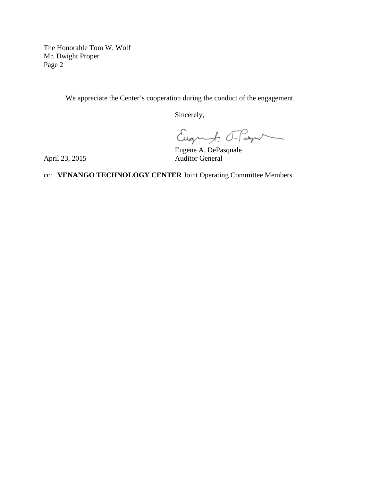The Honorable Tom W. Wolf Mr. Dwight Proper Page 2

We appreciate the Center's cooperation during the conduct of the engagement.

Sincerely,

Eugenf: T-Pasqu

Eugene A. DePasquale

April 23, 2015

cc: **VENANGO TECHNOLOGY CENTER** Joint Operating Committee Members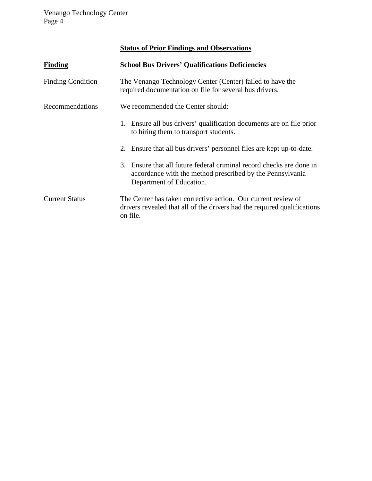Venango Technology Center Page 4

## **Status of Prior Findings and Observations**

| Finding                  | <b>School Bus Drivers' Qualifications Deficiencies</b>                                                                                                        |
|--------------------------|---------------------------------------------------------------------------------------------------------------------------------------------------------------|
| <b>Finding Condition</b> | The Venango Technology Center (Center) failed to have the<br>required documentation on file for several bus drivers.                                          |
| Recommendations          | We recommended the Center should:                                                                                                                             |
|                          | 1. Ensure all bus drivers' qualification documents are on file prior<br>to hiring them to transport students.                                                 |
|                          | 2. Ensure that all bus drivers' personnel files are kept up-to-date.                                                                                          |
|                          | 3. Ensure that all future federal criminal record checks are done in<br>accordance with the method prescribed by the Pennsylvania<br>Department of Education. |
| <b>Current Status</b>    | The Center has taken corrective action. Our current review of<br>drivers revealed that all of the drivers had the required qualifications<br>on file.         |